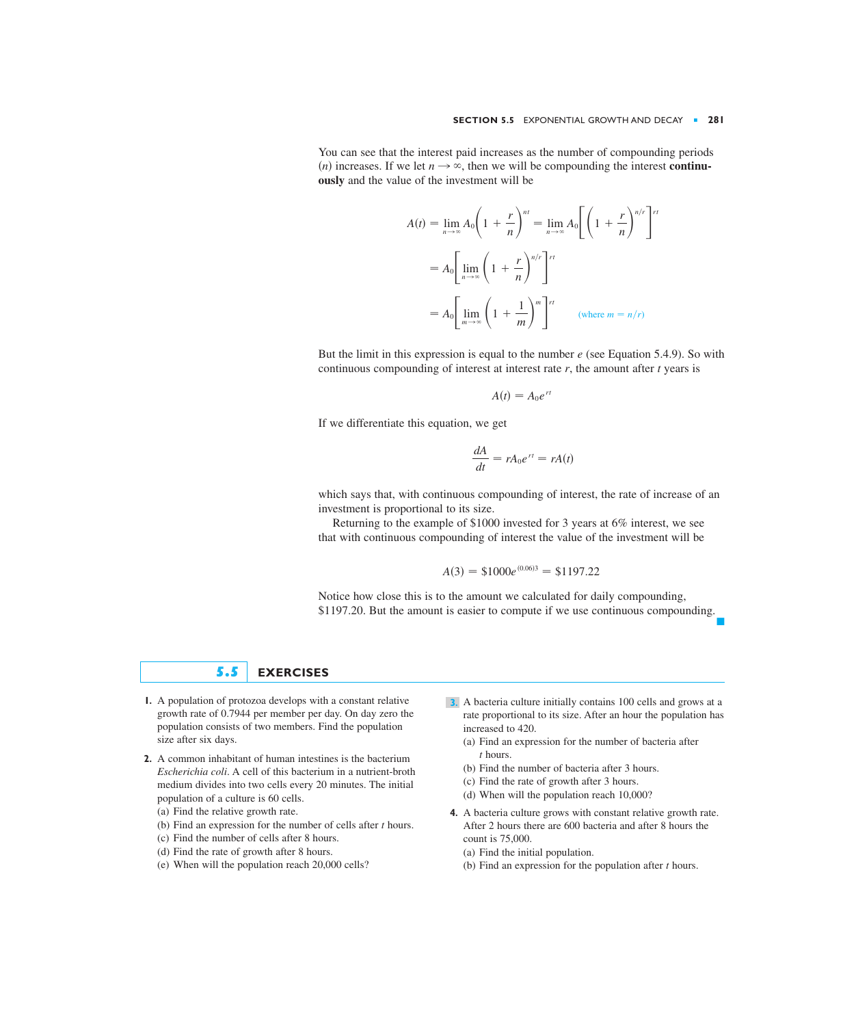You can see that the interest paid increases as the number of compounding periods *(n)* increases. If we let  $n \rightarrow \infty$ , then we will be compounding the interest **continuously** and the value of the investment will be

$$
A(t) = \lim_{n \to \infty} A_0 \left( 1 + \frac{r}{n} \right)^{nt} = \lim_{n \to \infty} A_0 \left[ \left( 1 + \frac{r}{n} \right)^{n/r} \right]^{rt}
$$

$$
= A_0 \left[ \lim_{n \to \infty} \left( 1 + \frac{r}{n} \right)^{n/r} \right]^{rt}
$$

$$
= A_0 \left[ \lim_{m \to \infty} \left( 1 + \frac{1}{m} \right)^m \right]^{rt} \qquad (\text{where } m = n/r)
$$

But the limit in this expression is equal to the number *e* (see Equation 5.4.9). So with continuous compounding of interest at interest rate *r*, the amount after *t* years is

$$
A(t)=A_0e^{rt}
$$

If we differentiate this equation, we get

$$
\frac{dA}{dt} = rA_0e^{rt} = rA(t)
$$

which says that, with continuous compounding of interest, the rate of increase of an investment is proportional to its size.

Returning to the example of \$1000 invested for 3 years at 6% interest, we see that with continuous compounding of interest the value of the investment will be

$$
A(3) = \$1000e^{(0.06)3} = \$1197.22
$$

Notice how close this is to the amount we calculated for daily compounding, \$1197.20. But the amount is easier to compute if we use continuous compounding. ■

## **5.5 EXERCISES**

- **1.** A population of protozoa develops with a constant relative **3.** growth rate of 0.7944 per member per day. On day zero the population consists of two members. Find the population size after six days.
- **2.** A common inhabitant of human intestines is the bacterium *Escherichia coli*. A cell of this bacterium in a nutrient-broth medium divides into two cells every 20 minutes. The initial population of a culture is 60 cells.
	- (a) Find the relative growth rate.
	- (b) Find an expression for the number of cells after  $t$  hours.
	- (c) Find the number of cells after 8 hours.
	- (d) Find the rate of growth after 8 hours.
	- (e) When will the population reach 20,000 cells?
- 3. A bacteria culture initially contains 100 cells and grows at a rate proportional to its size. After an hour the population has increased to 420.
	- (a) Find an expression for the number of bacteria after hours. *t*
	- (b) Find the number of bacteria after 3 hours.
	- (c) Find the rate of growth after 3 hours.
	- (d) When will the population reach 10,000?
- **4.** A bacteria culture grows with constant relative growth rate. After 2 hours there are 600 bacteria and after 8 hours the count is 75,000.
	- (a) Find the initial population.
	- (b) Find an expression for the population after  $t$  hours.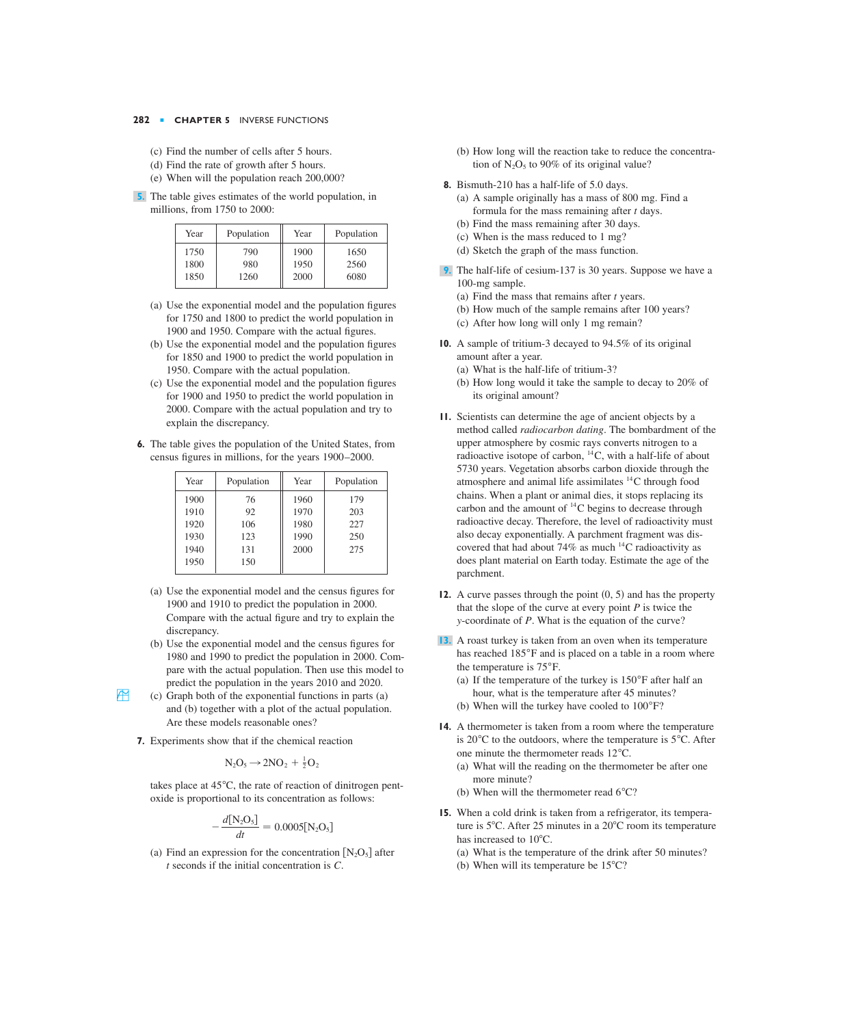- (c) Find the number of cells after 5 hours.
- (d) Find the rate of growth after 5 hours.
- (e) When will the population reach 200,000?
- **5.** The table gives estimates of the world population, in millions, from 1750 to 2000:

| Year | Population | Year | Population |
|------|------------|------|------------|
| 1750 | 790        | 1900 | 1650       |
| 1800 | 980        | 1950 | 2560       |
| 1850 | 1260       | 2000 | 6080       |

- (a) Use the exponential model and the population figures for 1750 and 1800 to predict the world population in 1900 and 1950. Compare with the actual figures.
- (b) Use the exponential model and the population figures for 1850 and 1900 to predict the world population in 1950. Compare with the actual population.
- (c) Use the exponential model and the population figures for 1900 and 1950 to predict the world population in 2000. Compare with the actual population and try to explain the discrepancy.
- **6.** The table gives the population of the United States, from census figures in millions, for the years 1900–2000.

| Year | Population | Year | Population |
|------|------------|------|------------|
| 1900 | 76         | 1960 | 179        |
| 1910 | 92         | 1970 | 203        |
| 1920 | 106        | 1980 | 227        |
| 1930 | 123        | 1990 | 250        |
| 1940 | 131        | 2000 | 275        |
| 1950 | 150        |      |            |
|      |            |      |            |

- (a) Use the exponential model and the census figures for 1900 and 1910 to predict the population in 2000. Compare with the actual figure and try to explain the discrepancy.
- (b) Use the exponential model and the census figures for 1980 and 1990 to predict the population in 2000. Compare with the actual population. Then use this model to predict the population in the years 2010 and 2020.
- $\overrightarrow{f}$  (c) Graph both of the exponential functions in parts (a) and (b) together with a plot of the actual population. Are these models reasonable ones?
	- **7.** Experiments show that if the chemical reaction

$$
N_2O_5 \rightarrow 2NO_2 + \frac{1}{2}O_2
$$

takes place at  $45^{\circ}$ C, the rate of reaction of dinitrogen pentoxide is proportional to its concentration as follows:

$$
-\frac{d[N_2O_5]}{dt} = 0.0005[N_2O_5]
$$

(a) Find an expression for the concentration  $[N_2O_5]$  after  $t$  seconds if the initial concentration is  $C$ .

- (b) How long will the reaction take to reduce the concentration of  $N_2O_5$  to 90% of its original value?
- **8.** Bismuth-210 has a half-life of 5.0 days.
	- (a) A sample originally has a mass of 800 mg. Find a formula for the mass remaining after  $t$  days.
	- (b) Find the mass remaining after 30 days.
	- (c) When is the mass reduced to 1 mg?
	- (d) Sketch the graph of the mass function.
- The half-life of cesium-137 is 30 years. Suppose we have a **9.** 100-mg sample.
	- (a) Find the mass that remains after  $t$  years.
	- (b) How much of the sample remains after 100 years?
	- (c) After how long will only 1 mg remain?
- **10.** A sample of tritium-3 decayed to 94.5% of its original amount after a year.
	- (a) What is the half-life of tritium-3?
	- (b) How long would it take the sample to decay to 20% of its original amount?
- **11.** Scientists can determine the age of ancient objects by a method called *radiocarbon dating*. The bombardment of the upper atmosphere by cosmic rays converts nitrogen to a radioactive isotope of carbon,  $^{14}$ C, with a half-life of about 5730 years. Vegetation absorbs carbon dioxide through the atmosphere and animal life assimilates  ${}^{14}C$  through food chains. When a plant or animal dies, it stops replacing its carbon and the amount of  $^{14}$ C begins to decrease through radioactive decay. Therefore, the level of radioactivity must also decay exponentially. A parchment fragment was discovered that had about 74% as much  $^{14}$ C radioactivity as does plant material on Earth today. Estimate the age of the parchment.
- **12.** A curve passes through the point  $(0, 5)$  and has the property that the slope of the curve at every point  $P$  is twice the *y*-coordinate of *P*. What is the equation of the curve?
- A roast turkey is taken from an oven when its temperature **13.** has reached 185°F and is placed on a table in a room where the temperature is  $75^{\circ}$ F.
	- (a) If the temperature of the turkey is  $150^{\circ}$ F after half an hour, what is the temperature after 45 minutes?
	- (b) When will the turkey have cooled to  $100^{\circ}$ F?
- **14.** A thermometer is taken from a room where the temperature is 20 $^{\circ}$ C to the outdoors, where the temperature is 5 $^{\circ}$ C. After one minute the thermometer reads  $12^{\circ}$ C.
	- (a) What will the reading on the thermometer be after one more minute?
	- (b) When will the thermometer read  $6^{\circ}$ C?
- **15.** When a cold drink is taken from a refrigerator, its temperature is  $5^{\circ}$ C. After 25 minutes in a 20 $^{\circ}$ C room its temperature has increased to 10°C.
	- (a) What is the temperature of the drink after 50 minutes?
	- (b) When will its temperature be  $15^{\circ}$ C?